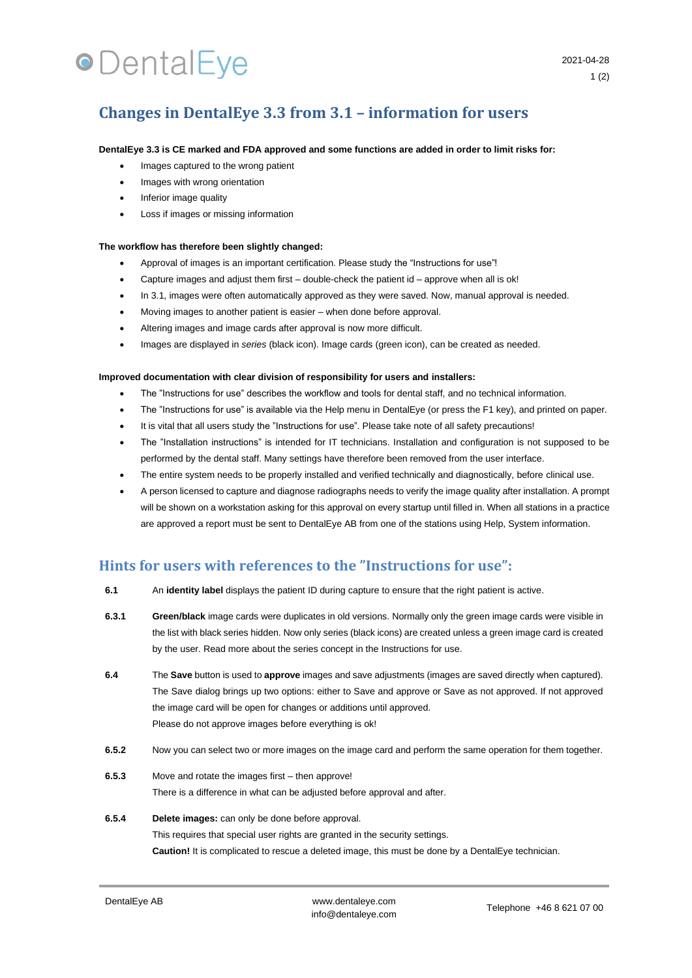# **•**DentalEye

## **Changes in DentalEye 3.3 from 3.1 – information for users**

### **DentalEye 3.3 is CE marked and FDA approved and some functions are added in order to limit risks for:**

- Images captured to the wrong patient
- Images with wrong orientation
- Inferior image quality
- Loss if images or missing information

### **The workflow has therefore been slightly changed:**

- Approval of images is an important certification. Please study the "Instructions for use"!
- Capture images and adjust them first double-check the patient id approve when all is ok!
- In 3.1, images were often automatically approved as they were saved. Now, manual approval is needed.
- Moving images to another patient is easier when done before approval.
- Altering images and image cards after approval is now more difficult.
- Images are displayed in *series* (black icon). Image cards (green icon), can be created as needed.

#### **Improved documentation with clear division of responsibility for users and installers:**

- The "Instructions for use" describes the workflow and tools for dental staff, and no technical information.
- The "Instructions for use" is available via the Help menu in DentalEye (or press the F1 key), and printed on paper.
- It is vital that all users study the "Instructions for use". Please take note of all safety precautions!
- The "Installation instructions" is intended for IT technicians. Installation and configuration is not supposed to be performed by the dental staff. Many settings have therefore been removed from the user interface.
- The entire system needs to be properly installed and verified technically and diagnostically, before clinical use.
- A person licensed to capture and diagnose radiographs needs to verify the image quality after installation. A prompt will be shown on a workstation asking for this approval on every startup until filled in. When all stations in a practice are approved a report must be sent to DentalEye AB from one of the stations using Help, System information.

## **Hints for users with references to the "Instructions for use":**

- **6.1** An **identity label** displays the patient ID during capture to ensure that the right patient is active.
- **6.3.1 Green/black** image cards were duplicates in old versions. Normally only the green image cards were visible in the list with black series hidden. Now only series (black icons) are created unless a green image card is created by the user. Read more about the series concept in the Instructions for use.
- **6.4** The **Save** button is used to **approve** images and save adjustments (images are saved directly when captured). The Save dialog brings up two options: either to Save and approve or Save as not approved. If not approved the image card will be open for changes or additions until approved. Please do not approve images before everything is ok!
- **6.5.2** Now you can select two or more images on the image card and perform the same operation for them together.
- **6.5.3** Move and rotate the images first then approve! There is a difference in what can be adjusted before approval and after.

## **6.5.4 Delete images:** can only be done before approval. This requires that special user rights are granted in the security settings. **Caution!** It is complicated to rescue a deleted image, this must be done by a DentalEye technician.